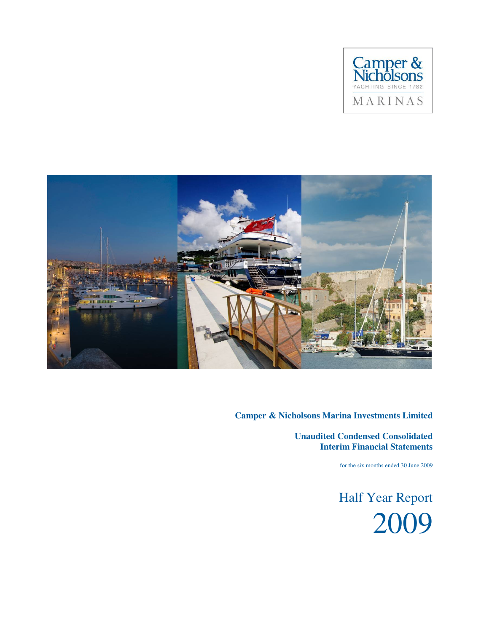



# **Camper & Nicholsons Marina Investments Limited**

# **Unaudited Condensed Consolidated Interim Financial Statements**

for the six months ended 30 June 2009

Half Year Report 2009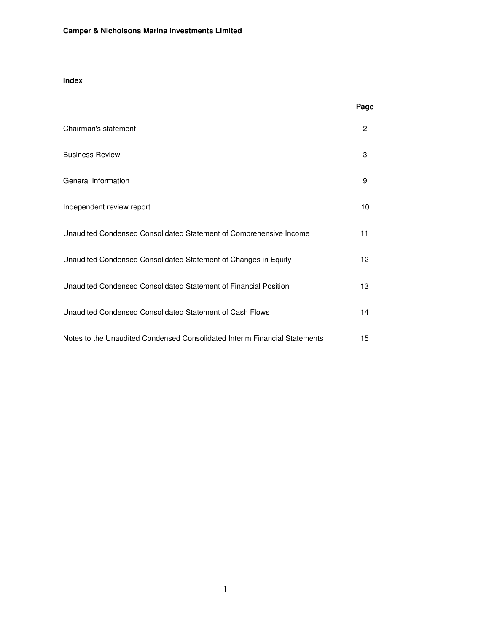# **Index**

|                                                                            | Page |
|----------------------------------------------------------------------------|------|
| Chairman's statement                                                       | 2    |
| <b>Business Review</b>                                                     | 3    |
| General Information                                                        | 9    |
| Independent review report                                                  | 10   |
| Unaudited Condensed Consolidated Statement of Comprehensive Income         | 11   |
| Unaudited Condensed Consolidated Statement of Changes in Equity            | 12   |
| Unaudited Condensed Consolidated Statement of Financial Position           | 13   |
| Unaudited Condensed Consolidated Statement of Cash Flows                   | 14   |
| Notes to the Unaudited Condensed Consolidated Interim Financial Statements | 15   |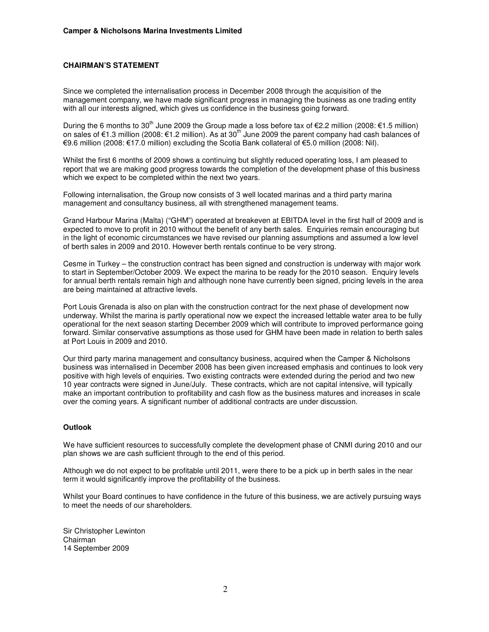### **CHAIRMAN'S STATEMENT**

Since we completed the internalisation process in December 2008 through the acquisition of the management company, we have made significant progress in managing the business as one trading entity with all our interests aligned, which gives us confidence in the business going forward.

During the 6 months to 30<sup>th</sup> June 2009 the Group made a loss before tax of €2.2 million (2008: €1.5 million) on sales of €1.3 million (2008: €1.2 million). As at 30<sup>th</sup> June 2009 the parent company had cash balances of €9.6 million (2008: €17.0 million) excluding the Scotia Bank collateral of €5.0 million (2008: Nil).

Whilst the first 6 months of 2009 shows a continuing but slightly reduced operating loss, I am pleased to report that we are making good progress towards the completion of the development phase of this business which we expect to be completed within the next two years.

Following internalisation, the Group now consists of 3 well located marinas and a third party marina management and consultancy business, all with strengthened management teams.

Grand Harbour Marina (Malta) ("GHM") operated at breakeven at EBITDA level in the first half of 2009 and is expected to move to profit in 2010 without the benefit of any berth sales. Enquiries remain encouraging but in the light of economic circumstances we have revised our planning assumptions and assumed a low level of berth sales in 2009 and 2010. However berth rentals continue to be very strong.

Cesme in Turkey – the construction contract has been signed and construction is underway with major work to start in September/October 2009. We expect the marina to be ready for the 2010 season. Enquiry levels for annual berth rentals remain high and although none have currently been signed, pricing levels in the area are being maintained at attractive levels.

Port Louis Grenada is also on plan with the construction contract for the next phase of development now underway. Whilst the marina is partly operational now we expect the increased lettable water area to be fully operational for the next season starting December 2009 which will contribute to improved performance going forward. Similar conservative assumptions as those used for GHM have been made in relation to berth sales at Port Louis in 2009 and 2010.

Our third party marina management and consultancy business, acquired when the Camper & Nicholsons business was internalised in December 2008 has been given increased emphasis and continues to look very positive with high levels of enquiries. Two existing contracts were extended during the period and two new 10 year contracts were signed in June/July. These contracts, which are not capital intensive, will typically make an important contribution to profitability and cash flow as the business matures and increases in scale over the coming years. A significant number of additional contracts are under discussion.

### **Outlook**

We have sufficient resources to successfully complete the development phase of CNMI during 2010 and our plan shows we are cash sufficient through to the end of this period.

Although we do not expect to be profitable until 2011, were there to be a pick up in berth sales in the near term it would significantly improve the profitability of the business.

Whilst your Board continues to have confidence in the future of this business, we are actively pursuing ways to meet the needs of our shareholders.

Sir Christopher Lewinton Chairman 14 September 2009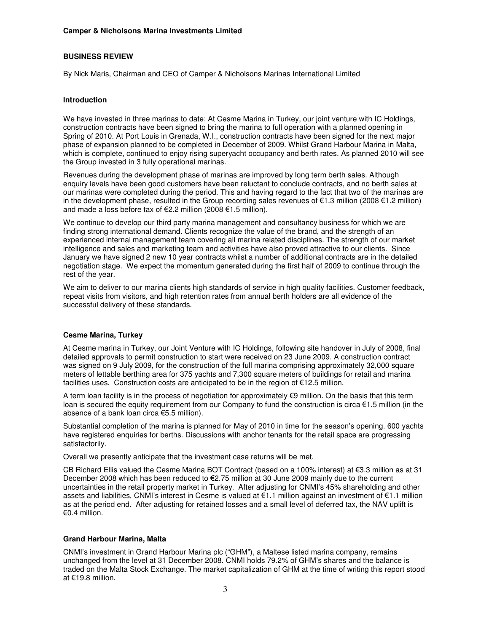# **BUSINESS REVIEW**

By Nick Maris, Chairman and CEO of Camper & Nicholsons Marinas International Limited

# **Introduction**

We have invested in three marinas to date: At Cesme Marina in Turkey, our joint venture with IC Holdings, construction contracts have been signed to bring the marina to full operation with a planned opening in Spring of 2010. At Port Louis in Grenada, W.I., construction contracts have been signed for the next major phase of expansion planned to be completed in December of 2009. Whilst Grand Harbour Marina in Malta, which is complete, continued to enjoy rising superyacht occupancy and berth rates. As planned 2010 will see the Group invested in 3 fully operational marinas.

Revenues during the development phase of marinas are improved by long term berth sales. Although enquiry levels have been good customers have been reluctant to conclude contracts, and no berth sales at our marinas were completed during the period. This and having regard to the fact that two of the marinas are in the development phase, resulted in the Group recording sales revenues of €1.3 million (2008 €1.2 million) and made a loss before tax of €2.2 million (2008 €1.5 million).

We continue to develop our third party marina management and consultancy business for which we are finding strong international demand. Clients recognize the value of the brand, and the strength of an experienced internal management team covering all marina related disciplines. The strength of our market intelligence and sales and marketing team and activities have also proved attractive to our clients. Since January we have signed 2 new 10 year contracts whilst a number of additional contracts are in the detailed negotiation stage. We expect the momentum generated during the first half of 2009 to continue through the rest of the year.

We aim to deliver to our marina clients high standards of service in high quality facilities. Customer feedback, repeat visits from visitors, and high retention rates from annual berth holders are all evidence of the successful delivery of these standards.

# **Cesme Marina, Turkey**

At Cesme marina in Turkey, our Joint Venture with IC Holdings, following site handover in July of 2008, final detailed approvals to permit construction to start were received on 23 June 2009. A construction contract was signed on 9 July 2009, for the construction of the full marina comprising approximately 32,000 square meters of lettable berthing area for 375 yachts and 7,300 square meters of buildings for retail and marina facilities uses. Construction costs are anticipated to be in the region of €12.5 million.

A term loan facility is in the process of negotiation for approximately €9 million. On the basis that this term loan is secured the equity requirement from our Company to fund the construction is circa  $\epsilon$ 1.5 million (in the absence of a bank loan circa €5.5 million).

Substantial completion of the marina is planned for May of 2010 in time for the season's opening. 600 yachts have registered enquiries for berths. Discussions with anchor tenants for the retail space are progressing satisfactorily.

Overall we presently anticipate that the investment case returns will be met.

CB Richard Ellis valued the Cesme Marina BOT Contract (based on a 100% interest) at €3.3 million as at 31 December 2008 which has been reduced to €2.75 million at 30 June 2009 mainly due to the current uncertainties in the retail property market in Turkey. After adjusting for CNMI's 45% shareholding and other assets and liabilities, CNMI's interest in Cesme is valued at €1.1 million against an investment of €1.1 million as at the period end. After adjusting for retained losses and a small level of deferred tax, the NAV uplift is  $€0.4$  million.

# **Grand Harbour Marina, Malta**

CNMI's investment in Grand Harbour Marina plc ("GHM"), a Maltese listed marina company, remains unchanged from the level at 31 December 2008. CNMI holds 79.2% of GHM's shares and the balance is traded on the Malta Stock Exchange. The market capitalization of GHM at the time of writing this report stood at €19.8 million.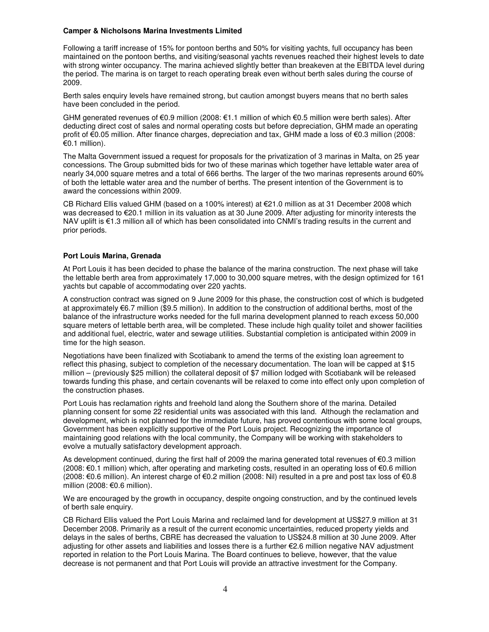### **Camper & Nicholsons Marina Investments Limited**

Following a tariff increase of 15% for pontoon berths and 50% for visiting yachts, full occupancy has been maintained on the pontoon berths, and visiting/seasonal yachts revenues reached their highest levels to date with strong winter occupancy. The marina achieved slightly better than breakeven at the EBITDA level during the period. The marina is on target to reach operating break even without berth sales during the course of 2009.

Berth sales enquiry levels have remained strong, but caution amongst buyers means that no berth sales have been concluded in the period.

GHM generated revenues of €0.9 million (2008: €1.1 million of which €0.5 million were berth sales). After deducting direct cost of sales and normal operating costs but before depreciation, GHM made an operating profit of €0.05 million. After finance charges, depreciation and tax, GHM made a loss of €0.3 million (2008: €0.1 million).

The Malta Government issued a request for proposals for the privatization of 3 marinas in Malta, on 25 year concessions. The Group submitted bids for two of these marinas which together have lettable water area of nearly 34,000 square metres and a total of 666 berths. The larger of the two marinas represents around 60% of both the lettable water area and the number of berths. The present intention of the Government is to award the concessions within 2009.

CB Richard Ellis valued GHM (based on a 100% interest) at €21.0 million as at 31 December 2008 which was decreased to €20.1 million in its valuation as at 30 June 2009. After adjusting for minority interests the NAV uplift is €1.3 million all of which has been consolidated into CNMI's trading results in the current and prior periods.

# **Port Louis Marina, Grenada**

At Port Louis it has been decided to phase the balance of the marina construction. The next phase will take the lettable berth area from approximately 17,000 to 30,000 square metres, with the design optimized for 161 yachts but capable of accommodating over 220 yachts.

A construction contract was signed on 9 June 2009 for this phase, the construction cost of which is budgeted at approximately €6.7 million (\$9.5 million). In addition to the construction of additional berths, most of the balance of the infrastructure works needed for the full marina development planned to reach excess 50,000 square meters of lettable berth area, will be completed. These include high quality toilet and shower facilities and additional fuel, electric, water and sewage utilities. Substantial completion is anticipated within 2009 in time for the high season.

Negotiations have been finalized with Scotiabank to amend the terms of the existing loan agreement to reflect this phasing, subject to completion of the necessary documentation. The loan will be capped at \$15 million – (previously \$25 million) the collateral deposit of \$7 million lodged with Scotiabank will be released towards funding this phase, and certain covenants will be relaxed to come into effect only upon completion of the construction phases.

Port Louis has reclamation rights and freehold land along the Southern shore of the marina. Detailed planning consent for some 22 residential units was associated with this land. Although the reclamation and development, which is not planned for the immediate future, has proved contentious with some local groups, Government has been explicitly supportive of the Port Louis project. Recognizing the importance of maintaining good relations with the local community, the Company will be working with stakeholders to evolve a mutually satisfactory development approach.

As development continued, during the first half of 2009 the marina generated total revenues of €0.3 million (2008: €0.1 million) which, after operating and marketing costs, resulted in an operating loss of €0.6 million (2008: €0.6 million). An interest charge of €0.2 million (2008: Nil) resulted in a pre and post tax loss of €0.8 million (2008: €0.6 million).

We are encouraged by the growth in occupancy, despite ongoing construction, and by the continued levels of berth sale enquiry.

CB Richard Ellis valued the Port Louis Marina and reclaimed land for development at US\$27.9 million at 31 December 2008. Primarily as a result of the current economic uncertainties, reduced property yields and delays in the sales of berths, CBRE has decreased the valuation to US\$24.8 million at 30 June 2009. After adjusting for other assets and liabilities and losses there is a further €2.6 million negative NAV adjustment reported in relation to the Port Louis Marina. The Board continues to believe, however, that the value decrease is not permanent and that Port Louis will provide an attractive investment for the Company.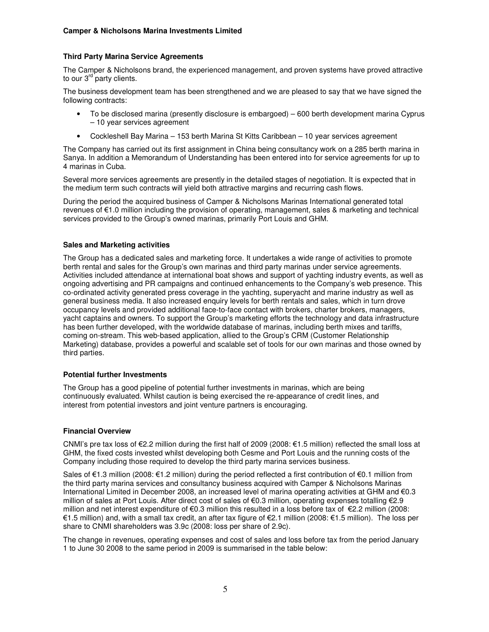# **Camper & Nicholsons Marina Investments Limited**

# **Third Party Marina Service Agreements**

The Camper & Nicholsons brand, the experienced management, and proven systems have proved attractive to our  $3<sup>rd</sup>$  party clients.

The business development team has been strengthened and we are pleased to say that we have signed the following contracts:

- To be disclosed marina (presently disclosure is embargoed) 600 berth development marina Cyprus – 10 year services agreement
- Cockleshell Bay Marina 153 berth Marina St Kitts Caribbean 10 year services agreement

The Company has carried out its first assignment in China being consultancy work on a 285 berth marina in Sanya. In addition a Memorandum of Understanding has been entered into for service agreements for up to 4 marinas in Cuba.

Several more services agreements are presently in the detailed stages of negotiation. It is expected that in the medium term such contracts will yield both attractive margins and recurring cash flows.

During the period the acquired business of Camper & Nicholsons Marinas International generated total revenues of €1.0 million including the provision of operating, management, sales & marketing and technical services provided to the Group's owned marinas, primarily Port Louis and GHM.

# **Sales and Marketing activities**

The Group has a dedicated sales and marketing force. It undertakes a wide range of activities to promote berth rental and sales for the Group's own marinas and third party marinas under service agreements. Activities included attendance at international boat shows and support of yachting industry events, as well as ongoing advertising and PR campaigns and continued enhancements to the Company's web presence. This co-ordinated activity generated press coverage in the yachting, superyacht and marine industry as well as general business media. It also increased enquiry levels for berth rentals and sales, which in turn drove occupancy levels and provided additional face-to-face contact with brokers, charter brokers, managers, yacht captains and owners. To support the Group's marketing efforts the technology and data infrastructure has been further developed, with the worldwide database of marinas, including berth mixes and tariffs, coming on-stream. This web-based application, allied to the Group's CRM (Customer Relationship Marketing) database, provides a powerful and scalable set of tools for our own marinas and those owned by third parties.

### **Potential further Investments**

The Group has a good pipeline of potential further investments in marinas, which are being continuously evaluated. Whilst caution is being exercised the re-appearance of credit lines, and interest from potential investors and joint venture partners is encouraging.

### **Financial Overview**

CNMI's pre tax loss of €2.2 million during the first half of 2009 (2008: €1.5 million) reflected the small loss at GHM, the fixed costs invested whilst developing both Cesme and Port Louis and the running costs of the Company including those required to develop the third party marina services business.

Sales of €1.3 million (2008: €1.2 million) during the period reflected a first contribution of €0.1 million from the third party marina services and consultancy business acquired with Camper & Nicholsons Marinas International Limited in December 2008, an increased level of marina operating activities at GHM and €0.3 million of sales at Port Louis. After direct cost of sales of €0.3 million, operating expenses totalling €2.9 million and net interest expenditure of €0.3 million this resulted in a loss before tax of €2.2 million (2008: €1.5 million) and, with a small tax credit, an after tax figure of €2.1 million (2008: €1.5 million). The loss per share to CNMI shareholders was 3.9c (2008: loss per share of 2.9c).

The change in revenues, operating expenses and cost of sales and loss before tax from the period January 1 to June 30 2008 to the same period in 2009 is summarised in the table below: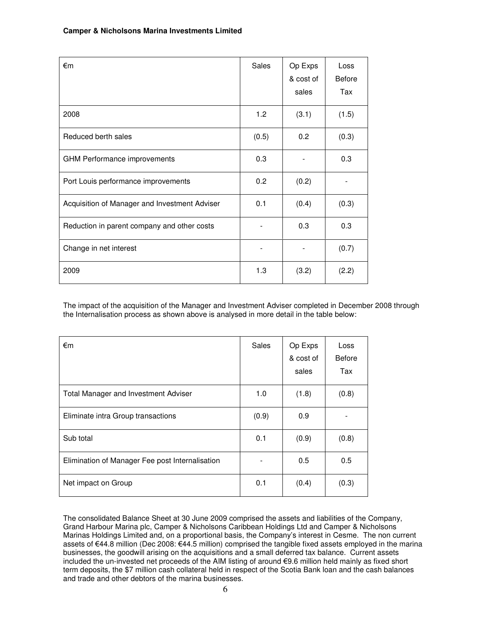| €m                                            | <b>Sales</b> | Op Exps<br>& cost of<br>sales | Loss<br><b>Before</b><br>Tax |
|-----------------------------------------------|--------------|-------------------------------|------------------------------|
| 2008                                          | 1.2          | (3.1)                         | (1.5)                        |
| Reduced berth sales                           | (0.5)        | 0.2                           | (0.3)                        |
| <b>GHM Performance improvements</b>           | 0.3          |                               | 0.3                          |
| Port Louis performance improvements           | 0.2          | (0.2)                         |                              |
| Acquisition of Manager and Investment Adviser | 0.1          | (0.4)                         | (0.3)                        |
| Reduction in parent company and other costs   |              | 0.3                           | 0.3                          |
| Change in net interest                        |              |                               | (0.7)                        |
| 2009                                          | 1.3          | (3.2)                         | (2.2)                        |

The impact of the acquisition of the Manager and Investment Adviser completed in December 2008 through the Internalisation process as shown above is analysed in more detail in the table below:

| €m                                              | Sales | Op Exps<br>& cost of<br>sales | Loss<br><b>Before</b><br>Tax |
|-------------------------------------------------|-------|-------------------------------|------------------------------|
| Total Manager and Investment Adviser            | 1.0   | (1.8)                         | (0.8)                        |
| Eliminate intra Group transactions              | (0.9) | 0.9                           |                              |
| Sub total                                       | 0.1   | (0.9)                         | (0.8)                        |
| Elimination of Manager Fee post Internalisation |       | 0.5                           | 0.5                          |
| Net impact on Group                             | 0.1   | (0.4)                         | (0.3)                        |

The consolidated Balance Sheet at 30 June 2009 comprised the assets and liabilities of the Company, Grand Harbour Marina plc, Camper & Nicholsons Caribbean Holdings Ltd and Camper & Nicholsons Marinas Holdings Limited and, on a proportional basis, the Company's interest in Cesme. The non current assets of €44.8 million (Dec 2008: €44.5 million) comprised the tangible fixed assets employed in the marina businesses, the goodwill arising on the acquisitions and a small deferred tax balance. Current assets included the un-invested net proceeds of the AIM listing of around €9.6 million held mainly as fixed short term deposits, the \$7 million cash collateral held in respect of the Scotia Bank loan and the cash balances and trade and other debtors of the marina businesses.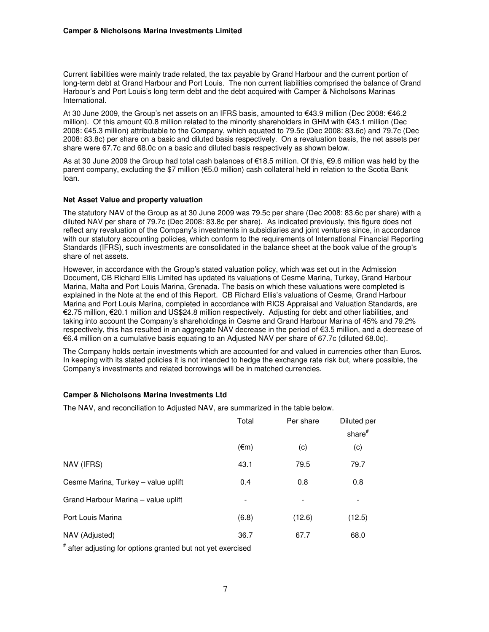Current liabilities were mainly trade related, the tax payable by Grand Harbour and the current portion of long-term debt at Grand Harbour and Port Louis. The non current liabilities comprised the balance of Grand Harbour's and Port Louis's long term debt and the debt acquired with Camper & Nicholsons Marinas International.

At 30 June 2009, the Group's net assets on an IFRS basis, amounted to €43.9 million (Dec 2008: €46.2 million). Of this amount €0.8 million related to the minority shareholders in GHM with €43.1 million (Dec 2008: €45.3 million) attributable to the Company, which equated to 79.5c (Dec 2008: 83.6c) and 79.7c (Dec 2008: 83.8c) per share on a basic and diluted basis respectively. On a revaluation basis, the net assets per share were 67.7c and 68.0c on a basic and diluted basis respectively as shown below.

As at 30 June 2009 the Group had total cash balances of €18.5 million. Of this, €9.6 million was held by the parent company, excluding the \$7 million (€5.0 million) cash collateral held in relation to the Scotia Bank loan.

# **Net Asset Value and property valuation**

The statutory NAV of the Group as at 30 June 2009 was 79.5c per share (Dec 2008: 83.6c per share) with a diluted NAV per share of 79.7c (Dec 2008: 83.8c per share). As indicated previously, this figure does not reflect any revaluation of the Company's investments in subsidiaries and joint ventures since, in accordance with our statutory accounting policies, which conform to the requirements of International Financial Reporting Standards (IFRS), such investments are consolidated in the balance sheet at the book value of the group's share of net assets.

However, in accordance with the Group's stated valuation policy, which was set out in the Admission Document, CB Richard Ellis Limited has updated its valuations of Cesme Marina, Turkey, Grand Harbour Marina, Malta and Port Louis Marina, Grenada. The basis on which these valuations were completed is explained in the Note at the end of this Report. CB Richard Ellis's valuations of Cesme, Grand Harbour Marina and Port Louis Marina, completed in accordance with RICS Appraisal and Valuation Standards, are €2.75 million, €20.1 million and US\$24.8 million respectively. Adjusting for debt and other liabilities, and taking into account the Company's shareholdings in Cesme and Grand Harbour Marina of 45% and 79.2% respectively, this has resulted in an aggregate NAV decrease in the period of €3.5 million, and a decrease of €6.4 million on a cumulative basis equating to an Adjusted NAV per share of 67.7c (diluted 68.0c).

The Company holds certain investments which are accounted for and valued in currencies other than Euros. In keeping with its stated policies it is not intended to hedge the exchange rate risk but, where possible, the Company's investments and related borrowings will be in matched currencies.

# **Camper & Nicholsons Marina Investments Ltd**

The NAV, and reconciliation to Adjusted NAV, are summarized in the table below.

|                                     | Total          | Per share | Diluted per<br>share <sup>#</sup> |
|-------------------------------------|----------------|-----------|-----------------------------------|
|                                     | $(\epsilon m)$ | (c)       | (c)                               |
| NAV (IFRS)                          | 43.1           | 79.5      | 79.7                              |
| Cesme Marina, Turkey - value uplift | 0.4            | 0.8       | 0.8                               |
| Grand Harbour Marina – value uplift |                |           |                                   |
| Port Louis Marina                   | (6.8)          | (12.6)    | (12.5)                            |
| NAV (Adjusted)<br>$\overline{u}$    | 36.7           | 67.7      | 68.0                              |

# after adjusting for options granted but not yet exercised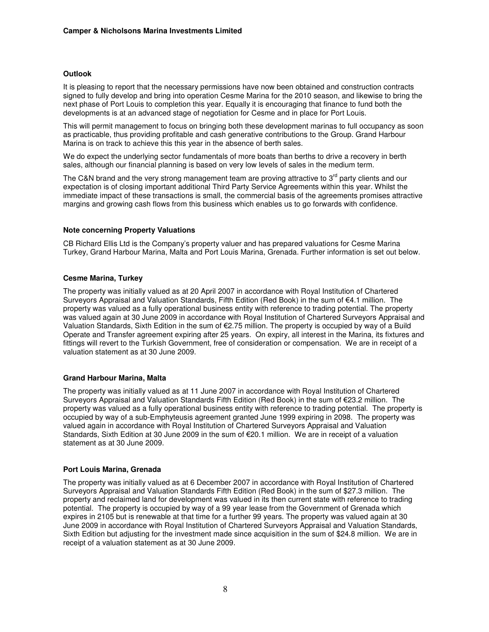# **Outlook**

It is pleasing to report that the necessary permissions have now been obtained and construction contracts signed to fully develop and bring into operation Cesme Marina for the 2010 season, and likewise to bring the next phase of Port Louis to completion this year. Equally it is encouraging that finance to fund both the developments is at an advanced stage of negotiation for Cesme and in place for Port Louis.

This will permit management to focus on bringing both these development marinas to full occupancy as soon as practicable, thus providing profitable and cash generative contributions to the Group. Grand Harbour Marina is on track to achieve this this year in the absence of berth sales.

We do expect the underlying sector fundamentals of more boats than berths to drive a recovery in berth sales, although our financial planning is based on very low levels of sales in the medium term.

The C&N brand and the very strong management team are proving attractive to  $3<sup>rd</sup>$  party clients and our expectation is of closing important additional Third Party Service Agreements within this year. Whilst the immediate impact of these transactions is small, the commercial basis of the agreements promises attractive margins and growing cash flows from this business which enables us to go forwards with confidence.

# **Note concerning Property Valuations**

CB Richard Ellis Ltd is the Company's property valuer and has prepared valuations for Cesme Marina Turkey, Grand Harbour Marina, Malta and Port Louis Marina, Grenada. Further information is set out below.

# **Cesme Marina, Turkey**

The property was initially valued as at 20 April 2007 in accordance with Royal Institution of Chartered Surveyors Appraisal and Valuation Standards, Fifth Edition (Red Book) in the sum of €4.1 million. The property was valued as a fully operational business entity with reference to trading potential. The property was valued again at 30 June 2009 in accordance with Royal Institution of Chartered Surveyors Appraisal and Valuation Standards, Sixth Edition in the sum of €2.75 million. The property is occupied by way of a Build Operate and Transfer agreement expiring after 25 years. On expiry, all interest in the Marina, its fixtures and fittings will revert to the Turkish Government, free of consideration or compensation. We are in receipt of a valuation statement as at 30 June 2009.

# **Grand Harbour Marina, Malta**

The property was initially valued as at 11 June 2007 in accordance with Royal Institution of Chartered Surveyors Appraisal and Valuation Standards Fifth Edition (Red Book) in the sum of €23.2 million. The property was valued as a fully operational business entity with reference to trading potential. The property is occupied by way of a sub-Emphyteusis agreement granted June 1999 expiring in 2098. The property was valued again in accordance with Royal Institution of Chartered Surveyors Appraisal and Valuation Standards, Sixth Edition at 30 June 2009 in the sum of €20.1 million. We are in receipt of a valuation statement as at 30 June 2009.

### **Port Louis Marina, Grenada**

The property was initially valued as at 6 December 2007 in accordance with Royal Institution of Chartered Surveyors Appraisal and Valuation Standards Fifth Edition (Red Book) in the sum of \$27.3 million. The property and reclaimed land for development was valued in its then current state with reference to trading potential. The property is occupied by way of a 99 year lease from the Government of Grenada which expires in 2105 but is renewable at that time for a further 99 years. The property was valued again at 30 June 2009 in accordance with Royal Institution of Chartered Surveyors Appraisal and Valuation Standards, Sixth Edition but adjusting for the investment made since acquisition in the sum of \$24.8 million. We are in receipt of a valuation statement as at 30 June 2009.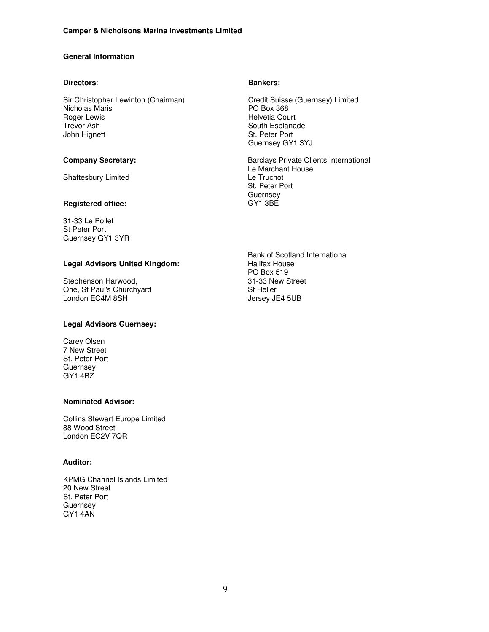# **General Information**

### **Directors**:

Sir Christopher Lewinton (Chairman) Nicholas Maris Roger Lewis Trevor Ash John Hignett

# **Company Secretary:**

Shaftesbury Limited

# **Registered office:**

31-33 Le Pollet St Peter Port Guernsey GY1 3YR

# **Legal Advisors United Kingdom:**

Stephenson Harwood, One, St Paul's Churchyard London EC4M 8SH

### **Legal Advisors Guernsey:**

Carey Olsen 7 New Street St. Peter Port **Guernsey** GY1 4BZ

### **Nominated Advisor:**

Collins Stewart Europe Limited 88 Wood Street London EC2V 7QR

# **Auditor:**

KPMG Channel Islands Limited 20 New Street St. Peter Port **Guernsey** GY1 4AN

### **Bankers:**

Credit Suisse (Guernsey) Limited PO Box 368 Helvetia Court South Esplanade St. Peter Port Guernsey GY1 3YJ

Barclays Private Clients International Le Marchant House Le Truchot St. Peter Port Guernsey<br>GY1 3BE

Bank of Scotland International Halifax House PO Box 519 31-33 New Street St Helier Jersey JE4 5UB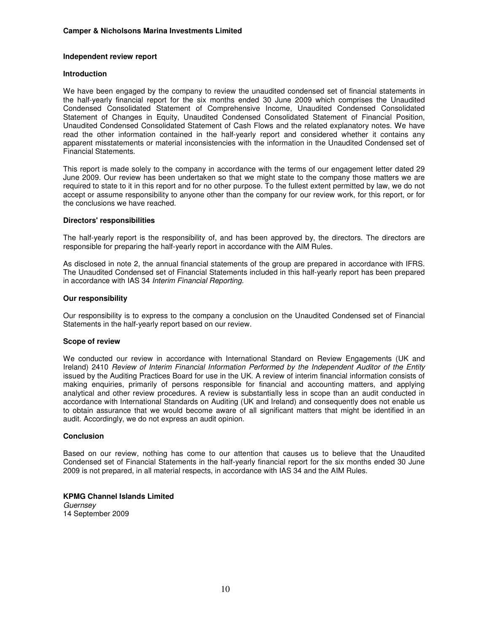#### **Independent review report**

# **Introduction**

We have been engaged by the company to review the unaudited condensed set of financial statements in the half-yearly financial report for the six months ended 30 June 2009 which comprises the Unaudited Condensed Consolidated Statement of Comprehensive Income, Unaudited Condensed Consolidated Statement of Changes in Equity, Unaudited Condensed Consolidated Statement of Financial Position, Unaudited Condensed Consolidated Statement of Cash Flows and the related explanatory notes. We have read the other information contained in the half-yearly report and considered whether it contains any apparent misstatements or material inconsistencies with the information in the Unaudited Condensed set of Financial Statements.

This report is made solely to the company in accordance with the terms of our engagement letter dated 29 June 2009. Our review has been undertaken so that we might state to the company those matters we are required to state to it in this report and for no other purpose. To the fullest extent permitted by law, we do not accept or assume responsibility to anyone other than the company for our review work, for this report, or for the conclusions we have reached.

#### **Directors' responsibilities**

The half-yearly report is the responsibility of, and has been approved by, the directors. The directors are responsible for preparing the half-yearly report in accordance with the AIM Rules.

As disclosed in note 2, the annual financial statements of the group are prepared in accordance with IFRS. The Unaudited Condensed set of Financial Statements included in this half-yearly report has been prepared in accordance with IAS 34 Interim Financial Reporting.

### **Our responsibility**

Our responsibility is to express to the company a conclusion on the Unaudited Condensed set of Financial Statements in the half-yearly report based on our review.

### **Scope of review**

We conducted our review in accordance with International Standard on Review Engagements (UK and Ireland) 2410 Review of Interim Financial Information Performed by the Independent Auditor of the Entity issued by the Auditing Practices Board for use in the UK. A review of interim financial information consists of making enquiries, primarily of persons responsible for financial and accounting matters, and applying analytical and other review procedures. A review is substantially less in scope than an audit conducted in accordance with International Standards on Auditing (UK and Ireland) and consequently does not enable us to obtain assurance that we would become aware of all significant matters that might be identified in an audit. Accordingly, we do not express an audit opinion.

### **Conclusion**

Based on our review, nothing has come to our attention that causes us to believe that the Unaudited Condensed set of Financial Statements in the half-yearly financial report for the six months ended 30 June 2009 is not prepared, in all material respects, in accordance with IAS 34 and the AIM Rules.

# **KPMG Channel Islands Limited**

Guernsey 14 September 2009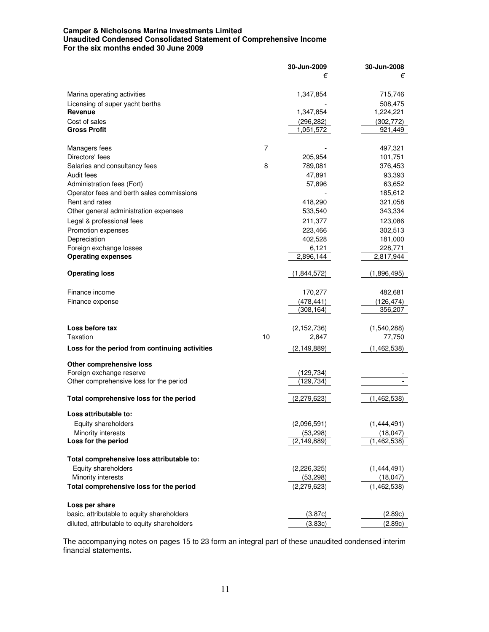# **Camper & Nicholsons Marina Investments Limited Unaudited Condensed Consolidated Statement of Comprehensive Income For the six months ended 30 June 2009**

|                                                |    | 30-Jun-2009   | 30-Jun-2008 |
|------------------------------------------------|----|---------------|-------------|
|                                                |    | €             | €           |
| Marina operating activities                    |    | 1,347,854     | 715,746     |
| Licensing of super yacht berths                |    |               | 508,475     |
| Revenue                                        |    | 1,347,854     | 1,224,221   |
| Cost of sales                                  |    | (296, 282)    | (302, 772)  |
| <b>Gross Profit</b>                            |    | 1,051,572     | 921,449     |
| Managers fees                                  | 7  |               | 497,321     |
| Directors' fees                                |    | 205,954       | 101,751     |
| Salaries and consultancy fees                  | 8  | 789,081       | 376,453     |
| Audit fees                                     |    | 47,891        | 93,393      |
| Administration fees (Fort)                     |    | 57,896        | 63,652      |
| Operator fees and berth sales commissions      |    |               | 185,612     |
| Rent and rates                                 |    | 418,290       | 321,058     |
| Other general administration expenses          |    | 533,540       | 343,334     |
| Legal & professional fees                      |    | 211,377       | 123,086     |
| Promotion expenses                             |    | 223,466       | 302,513     |
| Depreciation                                   |    | 402,528       | 181,000     |
| Foreign exchange losses                        |    | 6,121         | 228,771     |
| <b>Operating expenses</b>                      |    | 2,896,144     | 2,817,944   |
| <b>Operating loss</b>                          |    | (1.844,572)   | (1,896,495) |
| Finance income                                 |    | 170,277       | 482,681     |
| Finance expense                                |    | (478, 441)    | (126, 474)  |
|                                                |    | (308,164)     | 356,207     |
| Loss before tax                                |    | (2, 152, 736) | (1,540,288) |
| Taxation                                       | 10 | 2,847         | 77,750      |
| Loss for the period from continuing activities |    | (2, 149, 889) | (1,462,538) |
| Other comprehensive loss                       |    |               |             |
| Foreign exchange reserve                       |    | (129,734)     |             |
| Other comprehensive loss for the period        |    | (129, 734)    |             |
| Total comprehensive loss for the period        |    | (2, 279, 623) | (1,462,538) |
| Loss attributable to:                          |    |               |             |
| Equity shareholders                            |    | (2,096,591)   | (1,444,491) |
| Minority interests                             |    | (53, 298)     | (18, 047)   |
| Loss for the period                            |    | (2, 149, 889) | (1,462,538) |
|                                                |    |               |             |
| Total comprehensive loss attributable to:      |    |               |             |
| Equity shareholders                            |    | (2, 226, 325) | (1,444,491) |
| Minority interests                             |    | (53, 298)     | (18, 047)   |
| Total comprehensive loss for the period        |    | (2,279,623)   | (1,462,538) |
| Loss per share                                 |    |               |             |
| basic, attributable to equity shareholders     |    | (3.87c)       | (2.89c)     |
| diluted, attributable to equity shareholders   |    | (3.83c)       | (2.89c)     |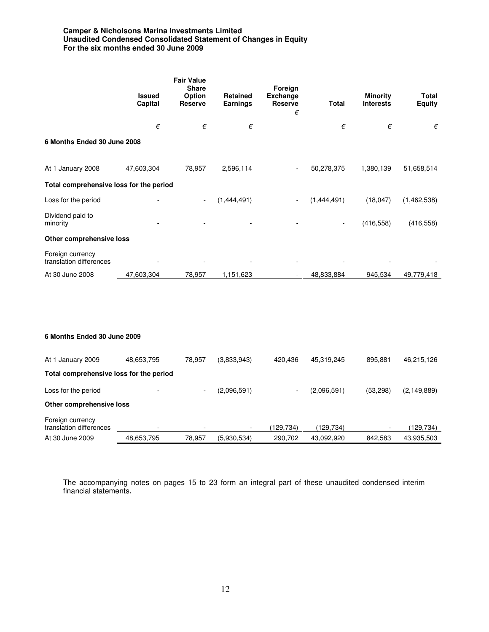# **Camper & Nicholsons Marina Investments Limited Unaudited Condensed Consolidated Statement of Changes in Equity For the six months ended 30 June 2009**

|                                             | <b>Issued</b><br>Capital | <b>Fair Value</b><br><b>Share</b><br>Option<br>Reserve | Retained<br><b>Earnings</b> | Foreign<br>Exchange<br>Reserve<br>€ | <b>Total</b>             | <b>Minority</b><br><b>Interests</b> | Total<br><b>Equity</b> |
|---------------------------------------------|--------------------------|--------------------------------------------------------|-----------------------------|-------------------------------------|--------------------------|-------------------------------------|------------------------|
|                                             | €                        | €                                                      | €                           |                                     | $\epsilon$               | €                                   | €                      |
| 6 Months Ended 30 June 2008                 |                          |                                                        |                             |                                     |                          |                                     |                        |
| At 1 January 2008                           | 47,603,304               | 78,957                                                 | 2,596,114                   |                                     | 50,278,375               | 1,380,139                           | 51,658,514             |
| Total comprehensive loss for the period     |                          |                                                        |                             |                                     |                          |                                     |                        |
| Loss for the period                         |                          |                                                        | (1,444,491)                 |                                     | (1,444,491)              | (18,047)                            | (1,462,538)            |
| Dividend paid to<br>minority                |                          |                                                        |                             |                                     | $\overline{\phantom{a}}$ | (416, 558)                          | (416, 558)             |
| Other comprehensive loss                    |                          |                                                        |                             |                                     |                          |                                     |                        |
| Foreign currency<br>translation differences |                          |                                                        |                             |                                     |                          |                                     |                        |
| At 30 June 2008                             | 47,603,304               | 78,957                                                 | 1,151,623                   |                                     | 48,833,884               | 945,534                             | 49,779,418             |
|                                             |                          |                                                        |                             |                                     |                          |                                     |                        |

| 6 Months Ended 30 June 2009                 |            |                          |             |           |             |           |               |
|---------------------------------------------|------------|--------------------------|-------------|-----------|-------------|-----------|---------------|
| At 1 January 2009                           | 48,653,795 | 78.957                   | (3.833.943) | 420.436   | 45,319,245  | 895.881   | 46,215,126    |
| Total comprehensive loss for the period     |            |                          |             |           |             |           |               |
| Loss for the period                         |            | $\overline{\phantom{a}}$ | (2,096,591) |           | (2,096,591) | (53, 298) | (2, 149, 889) |
| Other comprehensive loss                    |            |                          |             |           |             |           |               |
| Foreign currency<br>translation differences |            |                          |             | (129.734) | (129.734)   |           | (129,734)     |
| At 30 June 2009                             | 48,653,795 | 78.957                   | (5.930.534) | 290.702   | 43,092,920  | 842.583   | 43,935,503    |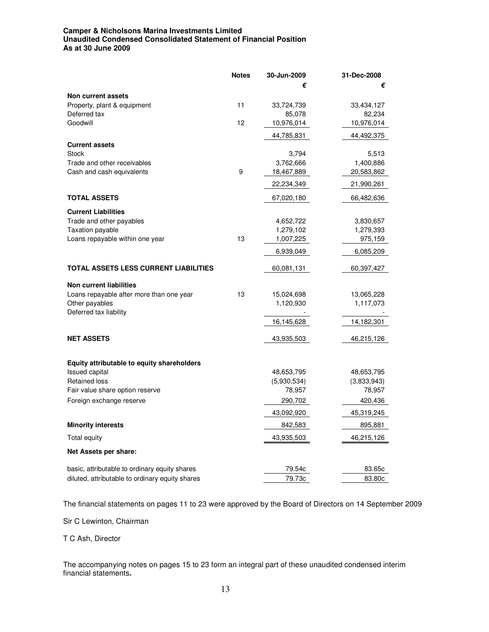# **Camper & Nicholsons Marina Investments Limited Unaudited Condensed Consolidated Statement of Financial Position As at 30 June 2009**

|                                                 | <b>Notes</b> | 30-Jun-2009 | 31-Dec-2008 |
|-------------------------------------------------|--------------|-------------|-------------|
|                                                 |              | €           | €           |
| Non current assets                              |              |             |             |
| Property, plant & equipment                     | 11           | 33,724,739  | 33,434,127  |
| Deferred tax                                    |              | 85,078      | 82,234      |
| Goodwill                                        | 12           | 10,976,014  | 10,976,014  |
|                                                 |              | 44,785,831  | 44,492,375  |
| <b>Current assets</b>                           |              |             |             |
| <b>Stock</b>                                    |              | 3,794       | 5,513       |
| Trade and other receivables                     |              | 3,762,666   | 1,400,886   |
| Cash and cash equivalents                       | 9            | 18,467,889  | 20,583,862  |
|                                                 |              | 22,234,349  | 21,990,261  |
| <b>TOTAL ASSETS</b>                             |              | 67,020,180  | 66,482,636  |
| <b>Current Liabilities</b>                      |              |             |             |
| Trade and other payables                        |              | 4,652,722   | 3,830,657   |
| Taxation payable                                |              | 1,279,102   | 1,279,393   |
| Loans repayable within one year                 | 13           | 1,007,225   | 975,159     |
|                                                 |              | 6,939,049   | 6,085,209   |
| TOTAL ASSETS LESS CURRENT LIABILITIES           |              | 60,081,131  | 60,397,427  |
| <b>Non current liabilities</b>                  |              |             |             |
| Loans repayable after more than one year        | 13           | 15,024,698  | 13,065,228  |
| Other payables                                  |              | 1,120,930   | 1,117,073   |
| Deferred tax liability                          |              |             |             |
|                                                 |              | 16,145,628  | 14,182,301  |
| <b>NET ASSETS</b>                               |              | 43,935,503  | 46,215,126  |
|                                                 |              |             |             |
| Equity attributable to equity shareholders      |              |             |             |
| <b>Issued capital</b>                           |              | 48,653,795  | 48,653,795  |
| <b>Retained loss</b>                            |              | (5,930,534) | (3,833,943) |
| Fair value share option reserve                 |              | 78,957      | 78,957      |
| Foreign exchange reserve                        |              | 290,702     | 420,436     |
|                                                 |              | 43,092,920  | 45,319,245  |
| <b>Minority interests</b>                       |              | 842,583     | 895,881     |
| <b>Total equity</b>                             |              | 43,935,503  | 46,215,126  |
| Net Assets per share:                           |              |             |             |
| basic, attributable to ordinary equity shares   |              | 79.54c      | 83.65c      |
| diluted, attributable to ordinary equity shares |              | 79.73c      | 83.80c      |

The financial statements on pages 11 to 23 were approved by the Board of Directors on 14 September 2009

Sir C Lewinton, Chairman

T C Ash, Director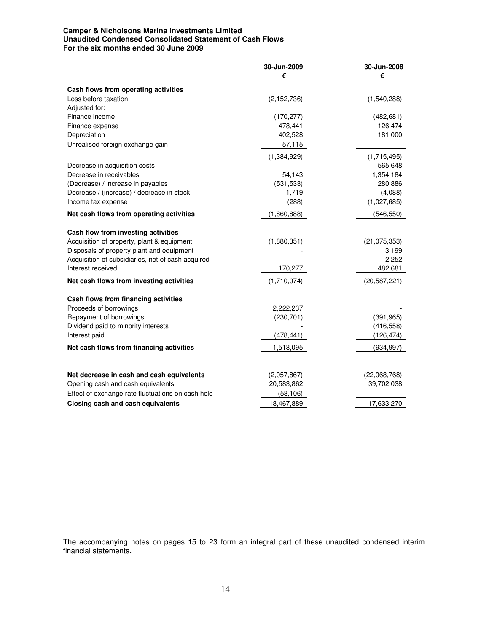### **Camper & Nicholsons Marina Investments Limited Unaudited Condensed Consolidated Statement of Cash Flows For the six months ended 30 June 2009**

|                                                   | 30-Jun-2009   | 30-Jun-2008    |
|---------------------------------------------------|---------------|----------------|
|                                                   | €             | €              |
| Cash flows from operating activities              |               |                |
| Loss before taxation                              | (2, 152, 736) | (1,540,288)    |
| Adjusted for:                                     |               |                |
| Finance income                                    | (170, 277)    | (482, 681)     |
| Finance expense                                   | 478,441       | 126,474        |
| Depreciation                                      | 402,528       | 181,000        |
| Unrealised foreign exchange gain                  | 57,115        |                |
|                                                   | (1,384,929)   | (1,715,495)    |
| Decrease in acquisition costs                     |               | 565,648        |
| Decrease in receivables                           | 54,143        | 1,354,184      |
| (Decrease) / increase in payables                 | (531, 533)    | 280,886        |
| Decrease / (increase) / decrease in stock         | 1,719         | (4,088)        |
| Income tax expense                                | (288)         | (1,027,685)    |
| Net cash flows from operating activities          | (1,860,888)   | (546, 550)     |
| Cash flow from investing activities               |               |                |
| Acquisition of property, plant & equipment        | (1,880,351)   | (21, 075, 353) |
| Disposals of property plant and equipment         |               | 3,199          |
| Acquisition of subsidiaries, net of cash acquired |               | 2,252          |
| Interest received                                 | 170,277       | 482,681        |
| Net cash flows from investing activities          | (1,710,074)   | (20, 587, 221) |
| Cash flows from financing activities              |               |                |
| Proceeds of borrowings                            | 2,222,237     |                |
| Repayment of borrowings                           | (230, 701)    | (391, 965)     |
| Dividend paid to minority interests               |               | (416, 558)     |
| Interest paid                                     | (478, 441)    | (126, 474)     |
| Net cash flows from financing activities          | 1,513,095     | (934, 997)     |
|                                                   |               |                |
| Net decrease in cash and cash equivalents         | (2,057,867)   | (22,068,768)   |
| Opening cash and cash equivalents                 | 20,583,862    | 39,702,038     |
| Effect of exchange rate fluctuations on cash held | (58, 106)     |                |
| Closing cash and cash equivalents                 | 18,467,889    | 17,633,270     |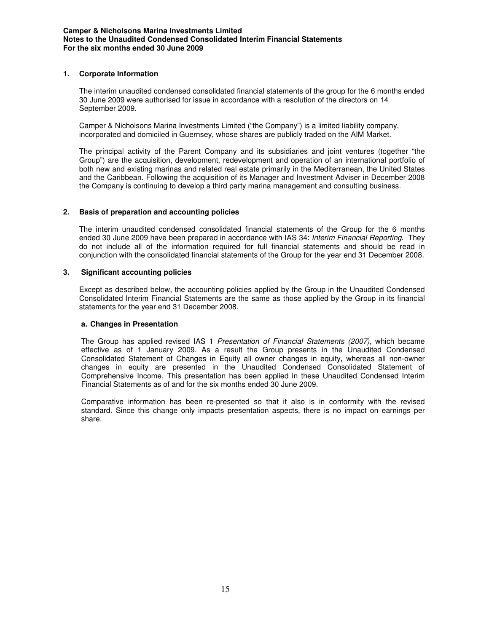# **1. Corporate Information**

The interim unaudited condensed consolidated financial statements of the group for the 6 months ended 30 June 2009 were authorised for issue in accordance with a resolution of the directors on 14 September 2009.

Camper & Nicholsons Marina Investments Limited ("the Company") is a limited liability company, incorporated and domiciled in Guernsey, whose shares are publicly traded on the AIM Market.

The principal activity of the Parent Company and its subsidiaries and joint ventures (together "the Group") are the acquisition, development, redevelopment and operation of an international portfolio of both new and existing marinas and related real estate primarily in the Mediterranean, the United States and the Caribbean. Following the acquisition of its Manager and Investment Adviser in December 2008 the Company is continuing to develop a third party marina management and consulting business.

# **2. Basis of preparation and accounting policies**

The interim unaudited condensed consolidated financial statements of the Group for the 6 months ended 30 June 2009 have been prepared in accordance with IAS 34: Interim Financial Reporting. They do not include all of the information required for full financial statements and should be read in conjunction with the consolidated financial statements of the Group for the year end 31 December 2008.

# **3. Significant accounting policies**

Except as described below, the accounting policies applied by the Group in the Unaudited Condensed Consolidated Interim Financial Statements are the same as those applied by the Group in its financial statements for the year end 31 December 2008.

### **a. Changes in Presentation**

The Group has applied revised IAS 1 Presentation of Financial Statements (2007), which became effective as of 1 January 2009. As a result the Group presents in the Unaudited Condensed Consolidated Statement of Changes in Equity all owner changes in equity, whereas all non-owner changes in equity are presented in the Unaudited Condensed Consolidated Statement of Comprehensive Income. This presentation has been applied in these Unaudited Condensed Interim Financial Statements as of and for the six months ended 30 June 2009.

Comparative information has been re-presented so that it also is in conformity with the revised standard. Since this change only impacts presentation aspects, there is no impact on earnings per share.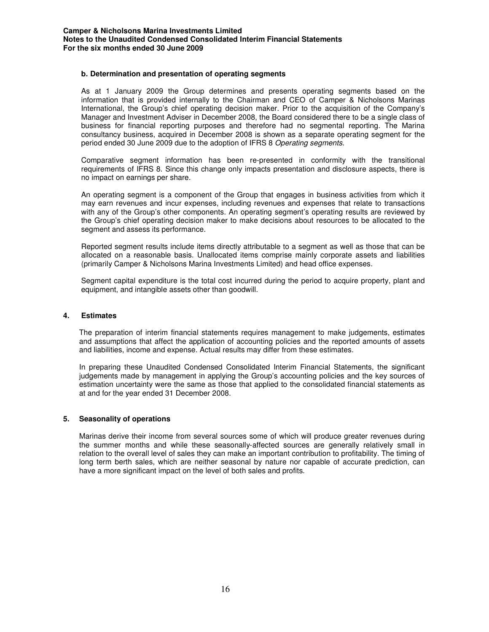### **b. Determination and presentation of operating segments**

As at 1 January 2009 the Group determines and presents operating segments based on the information that is provided internally to the Chairman and CEO of Camper & Nicholsons Marinas International, the Group's chief operating decision maker. Prior to the acquisition of the Company's Manager and Investment Adviser in December 2008, the Board considered there to be a single class of business for financial reporting purposes and therefore had no segmental reporting. The Marina consultancy business, acquired in December 2008 is shown as a separate operating segment for the period ended 30 June 2009 due to the adoption of IFRS 8 Operating segments.

Comparative segment information has been re-presented in conformity with the transitional requirements of IFRS 8. Since this change only impacts presentation and disclosure aspects, there is no impact on earnings per share.

An operating segment is a component of the Group that engages in business activities from which it may earn revenues and incur expenses, including revenues and expenses that relate to transactions with any of the Group's other components. An operating segment's operating results are reviewed by the Group's chief operating decision maker to make decisions about resources to be allocated to the segment and assess its performance.

Reported segment results include items directly attributable to a segment as well as those that can be allocated on a reasonable basis. Unallocated items comprise mainly corporate assets and liabilities (primarily Camper & Nicholsons Marina Investments Limited) and head office expenses.

Segment capital expenditure is the total cost incurred during the period to acquire property, plant and equipment, and intangible assets other than goodwill.

### **4. Estimates**

The preparation of interim financial statements requires management to make judgements, estimates and assumptions that affect the application of accounting policies and the reported amounts of assets and liabilities, income and expense. Actual results may differ from these estimates.

In preparing these Unaudited Condensed Consolidated Interim Financial Statements, the significant judgements made by management in applying the Group's accounting policies and the key sources of estimation uncertainty were the same as those that applied to the consolidated financial statements as at and for the year ended 31 December 2008.

### **5. Seasonality of operations**

Marinas derive their income from several sources some of which will produce greater revenues during the summer months and while these seasonally-affected sources are generally relatively small in relation to the overall level of sales they can make an important contribution to profitability. The timing of long term berth sales, which are neither seasonal by nature nor capable of accurate prediction, can have a more significant impact on the level of both sales and profits.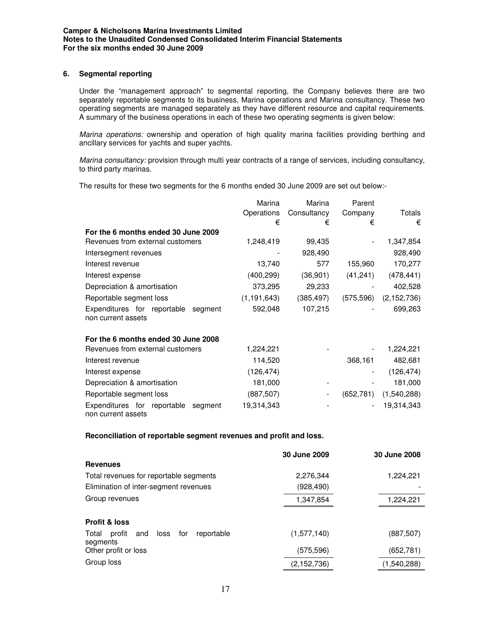# **6. Segmental reporting**

Under the "management approach" to segmental reporting, the Company believes there are two separately reportable segments to its business, Marina operations and Marina consultancy. These two operating segments are managed separately as they have different resource and capital requirements. A summary of the business operations in each of these two operating segments is given below:

Marina operations: ownership and operation of high quality marina facilities providing berthing and ancillary services for yachts and super yachts.

Marina consultancy: provision through multi year contracts of a range of services, including consultancy, to third party marinas.

The results for these two segments for the 6 months ended 30 June 2009 are set out below:-

|                                                              | Marina        | Marina      | Parent     |               |
|--------------------------------------------------------------|---------------|-------------|------------|---------------|
|                                                              | Operations    | Consultancy | Company    | Totals        |
|                                                              | €             | €           | €          | €             |
| For the 6 months ended 30 June 2009                          |               |             |            |               |
| Revenues from external customers                             | 1,248,419     | 99,435      |            | 1,347,854     |
| Intersegment revenues                                        |               | 928,490     |            | 928,490       |
| Interest revenue                                             | 13,740        | 577         | 155,960    | 170,277       |
| Interest expense                                             | (400, 299)    | (36,901)    | (41, 241)  | (478, 441)    |
| Depreciation & amortisation                                  | 373,295       | 29,233      |            | 402,528       |
| Reportable segment loss                                      | (1, 191, 643) | (385, 497)  | (575, 596) | (2, 152, 736) |
| Expenditures for reportable<br>segment<br>non current assets | 592,048       | 107,215     |            | 699,263       |
| For the 6 months ended 30 June 2008                          |               |             |            |               |
| Revenues from external customers                             | 1,224,221     |             |            | 1,224,221     |
| Interest revenue                                             | 114,520       |             | 368,161    | 482,681       |
| Interest expense                                             | (126, 474)    |             |            | (126, 474)    |
| Depreciation & amortisation                                  | 181,000       |             |            | 181,000       |
| Reportable segment loss                                      | (887, 507)    |             | (652, 781) | (1,540,288)   |
| Expenditures for reportable<br>segment<br>non current assets | 19,314,343    |             |            | 19,314,343    |

### **Reconciliation of reportable segment revenues and profit and loss.**

|                                                           | 30 June 2009  | 30 June 2008 |
|-----------------------------------------------------------|---------------|--------------|
| <b>Revenues</b>                                           |               |              |
| Total revenues for reportable segments                    | 2,276,344     | 1,224,221    |
| Elimination of inter-segment revenues                     | (928, 490)    |              |
| Group revenues                                            | 1,347,854     | 1,224,221    |
| <b>Profit &amp; loss</b>                                  |               |              |
| and loss for<br>reportable<br>Total<br>profit<br>segments | (1,577,140)   | (887, 507)   |
| Other profit or loss                                      | (575, 596)    | (652, 781)   |
| Group loss                                                | (2, 152, 736) | (1,540,288)  |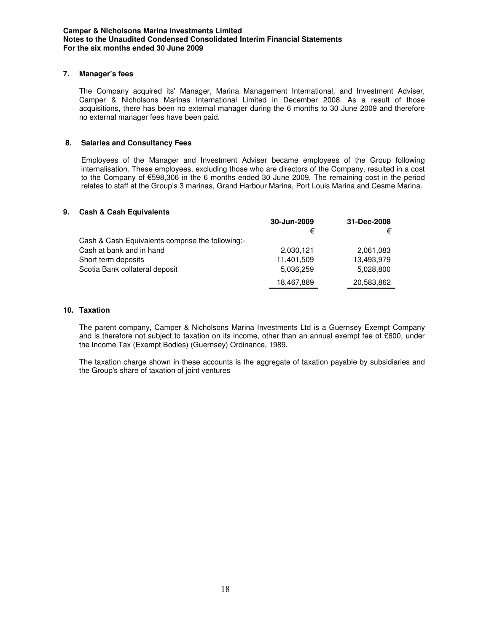# **7. Manager's fees**

The Company acquired its' Manager, Marina Management International, and Investment Adviser, Camper & Nicholsons Marinas International Limited in December 2008. As a result of those acquisitions, there has been no external manager during the 6 months to 30 June 2009 and therefore no external manager fees have been paid.

# **8. Salaries and Consultancy Fees**

Employees of the Manager and Investment Adviser became employees of the Group following internalisation. These employees, excluding those who are directors of the Company, resulted in a cost to the Company of €598,306 in the 6 months ended 30 June 2009. The remaining cost in the period relates to staff at the Group's 3 marinas, Grand Harbour Marina, Port Louis Marina and Cesme Marina.

# **9. Cash & Cash Equivalents**

|                                                  | 30-Jun-2009 | 31-Dec-2008 |
|--------------------------------------------------|-------------|-------------|
|                                                  |             | €           |
| Cash & Cash Equivalents comprise the following:- |             |             |
| Cash at bank and in hand                         | 2,030,121   | 2,061,083   |
| Short term deposits                              | 11,401,509  | 13,493,979  |
| Scotia Bank collateral deposit                   | 5,036,259   | 5,028,800   |
|                                                  | 18,467,889  | 20,583,862  |

# **10. Taxation**

The parent company, Camper & Nicholsons Marina Investments Ltd is a Guernsey Exempt Company and is therefore not subject to taxation on its income, other than an annual exempt fee of £600, under the Income Tax (Exempt Bodies) (Guernsey) Ordinance, 1989.

The taxation charge shown in these accounts is the aggregate of taxation payable by subsidiaries and the Group's share of taxation of joint ventures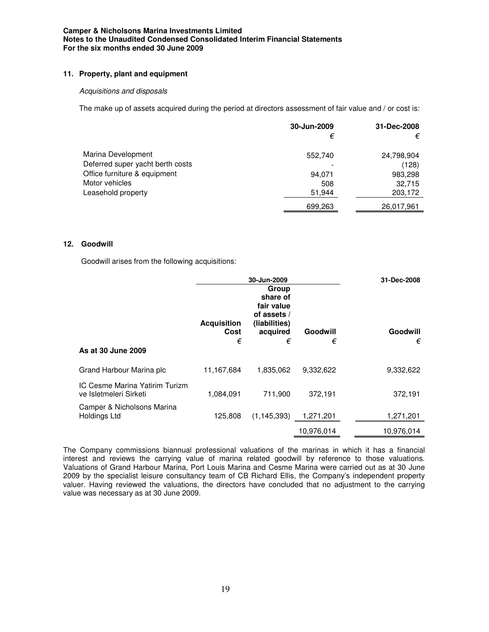# **11. Property, plant and equipment**

### Acquisitions and disposals

The make up of assets acquired during the period at directors assessment of fair value and / or cost is:

|                                  | 30-Jun-2009<br>€ | 31-Dec-2008<br>€ |
|----------------------------------|------------------|------------------|
| Marina Development               | 552,740          | 24,798,904       |
| Deferred super yacht berth costs |                  | (128)            |
| Office furniture & equipment     | 94,071           | 983,298          |
| Motor vehicles                   | 508              | 32.715           |
| Leasehold property               | 51.944           | 203,172          |
|                                  | 699,263          | 26,017,961       |

# **12. Goodwill**

Goodwill arises from the following acquisitions:

|                                                          | <b>Acquisition</b><br>Cost<br>€ | 30-Jun-2009<br>Group<br>share of<br>fair value<br>of assets /<br>(liabilities)<br>acquired<br>€ | Goodwill<br>€ | 31-Dec-2008<br><b>Goodwill</b><br>€ |
|----------------------------------------------------------|---------------------------------|-------------------------------------------------------------------------------------------------|---------------|-------------------------------------|
| As at 30 June 2009                                       |                                 |                                                                                                 |               |                                     |
| Grand Harbour Marina plc                                 | 11,167,684                      | 1,835,062                                                                                       | 9,332,622     | 9,332,622                           |
| IC Cesme Marina Yatirim Turizm<br>ve Isletmeleri Sirketi | 1,084,091                       | 711,900                                                                                         | 372,191       | 372,191                             |
| Camper & Nicholsons Marina<br><b>Holdings Ltd</b>        | 125,808                         | $(1, 145, 393)$ 1, 271, 201                                                                     |               | 1,271,201                           |
|                                                          |                                 |                                                                                                 | 10,976,014    | 10,976,014                          |

The Company commissions biannual professional valuations of the marinas in which it has a financial interest and reviews the carrying value of marina related goodwill by reference to those valuations. Valuations of Grand Harbour Marina, Port Louis Marina and Cesme Marina were carried out as at 30 June 2009 by the specialist leisure consultancy team of CB Richard Ellis, the Company's independent property valuer. Having reviewed the valuations, the directors have concluded that no adjustment to the carrying value was necessary as at 30 June 2009.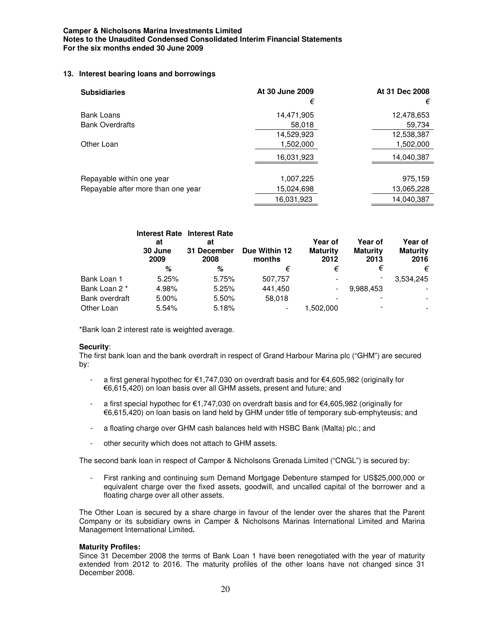### **Camper & Nicholsons Marina Investments Limited Notes to the Unaudited Condensed Consolidated Interim Financial Statements For the six months ended 30 June 2009**

# **13. Interest bearing loans and borrowings**

| At 30 June 2009 |   | At 31 Dec 2008 |
|-----------------|---|----------------|
|                 |   | €              |
| 14,471,905      |   | 12,478,653     |
| 58,018          |   | 59,734         |
| 14,529,923      |   | 12,538,387     |
| 1,502,000       |   | 1,502,000      |
| 16,031,923      |   | 14,040,387     |
|                 |   |                |
| 1,007,225       |   | 975,159        |
| 15,024,698      |   | 13,065,228     |
| 16,031,923      |   | 14,040,387     |
|                 | € |                |

|                | at<br>30 June<br>2009 | Interest Rate Interest Rate<br>at<br>31 December<br>2008 | Due Within 12<br>months | Year of<br><b>Maturity</b><br>2012 | Year of<br><b>Maturity</b><br>2013 | Year of<br><b>Maturity</b><br>2016 |
|----------------|-----------------------|----------------------------------------------------------|-------------------------|------------------------------------|------------------------------------|------------------------------------|
|                | %                     | %                                                        | €                       | €                                  | €                                  | €                                  |
| Bank Loan 1    | 5.25%                 | 5.75%                                                    | 507,757                 |                                    |                                    | 3,534,245                          |
| Bank Loan 2 *  | 4.98%                 | 5.25%                                                    | 441.450                 | -                                  | 9,988,453                          |                                    |
| Bank overdraft | 5.00%                 | 5.50%                                                    | 58,018                  | ۰                                  |                                    |                                    |
| Other Loan     | 5.54%                 | 5.18%                                                    |                         | 1.502.000                          |                                    | $\sim$                             |

\*Bank loan 2 interest rate is weighted average.

### **Security**:

The first bank loan and the bank overdraft in respect of Grand Harbour Marina plc ("GHM") are secured by:

- a first general hypothec for  $\epsilon$ 1,747,030 on overdraft basis and for  $\epsilon$ 4,605,982 (originally for €6,615,420) on loan basis over all GHM assets, present and future; and
- a first special hypothec for €1,747,030 on overdraft basis and for €4,605,982 (originally for €6,615,420) on loan basis on land held by GHM under title of temporary sub-emphyteusis; and
- a floating charge over GHM cash balances held with HSBC Bank (Malta) plc.; and
- other security which does not attach to GHM assets.

The second bank loan in respect of Camper & Nicholsons Grenada Limited ("CNGL") is secured by:

First ranking and continuing sum Demand Mortgage Debenture stamped for US\$25,000,000 or equivalent charge over the fixed assets, goodwill, and uncalled capital of the borrower and a floating charge over all other assets.

The Other Loan is secured by a share charge in favour of the lender over the shares that the Parent Company or its subsidiary owns in Camper & Nicholsons Marinas International Limited and Marina Management International Limited**.** 

# **Maturity Profiles:**

Since 31 December 2008 the terms of Bank Loan 1 have been renegotiated with the year of maturity extended from 2012 to 2016. The maturity profiles of the other loans have not changed since 31 December 2008.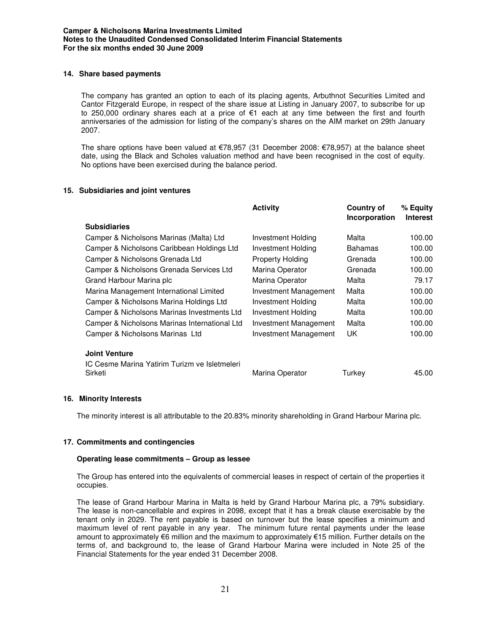# **14. Share based payments**

The company has granted an option to each of its placing agents, Arbuthnot Securities Limited and Cantor Fitzgerald Europe, in respect of the share issue at Listing in January 2007, to subscribe for up to 250,000 ordinary shares each at a price of €1 each at any time between the first and fourth anniversaries of the admission for listing of the company's shares on the AIM market on 29th January 2007.

The share options have been valued at €78,957 (31 December 2008: €78,957) at the balance sheet date, using the Black and Scholes valuation method and have been recognised in the cost of equity. No options have been exercised during the balance period.

# **15. Subsidiaries and joint ventures**

|                                               | <b>Activity</b>       | <b>Country of</b><br>Incorporation | % Equity<br><b>Interest</b> |
|-----------------------------------------------|-----------------------|------------------------------------|-----------------------------|
| <b>Subsidiaries</b>                           |                       |                                    |                             |
| Camper & Nicholsons Marinas (Malta) Ltd       | Investment Holding    | Malta                              | 100.00                      |
| Camper & Nicholsons Caribbean Holdings Ltd    | Investment Holding    | Bahamas                            | 100.00                      |
| Camper & Nicholsons Grenada Ltd               | Property Holding      | Grenada                            | 100.00                      |
| Camper & Nicholsons Grenada Services Ltd      | Marina Operator       | Grenada                            | 100.00                      |
| Grand Harbour Marina plc                      | Marina Operator       | Malta                              | 79.17                       |
| Marina Management International Limited       | Investment Management | Malta                              | 100.00                      |
| Camper & Nicholsons Marina Holdings Ltd       | Investment Holding    | Malta                              | 100.00                      |
| Camper & Nicholsons Marinas Investments Ltd   | Investment Holding    | Malta                              | 100.00                      |
| Camper & Nicholsons Marinas International Ltd | Investment Management | Malta                              | 100.00                      |
| Camper & Nicholsons Marinas Ltd               | Investment Management | UK.                                | 100.00                      |
| <b>Joint Venture</b>                          |                       |                                    |                             |
| IC Cesme Marina Yatirim Turizm ve Isletmeleri |                       |                                    |                             |
| Sirketi                                       | Marina Operator       | Turkey                             | 45.00                       |

# **16. Minority Interests**

The minority interest is all attributable to the 20.83% minority shareholding in Grand Harbour Marina plc.

### **17. Commitments and contingencies**

### **Operating lease commitments – Group as lessee**

The Group has entered into the equivalents of commercial leases in respect of certain of the properties it occupies.

The lease of Grand Harbour Marina in Malta is held by Grand Harbour Marina plc, a 79% subsidiary. The lease is non-cancellable and expires in 2098, except that it has a break clause exercisable by the tenant only in 2029. The rent payable is based on turnover but the lease specifies a minimum and maximum level of rent payable in any year. The minimum future rental payments under the lease amount to approximately €6 million and the maximum to approximately €15 million. Further details on the terms of, and background to, the lease of Grand Harbour Marina were included in Note 25 of the Financial Statements for the year ended 31 December 2008.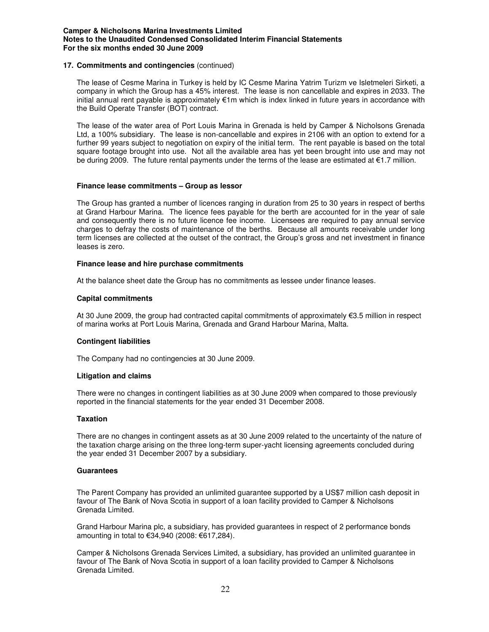### **17. Commitments and contingencies** (continued)

The lease of Cesme Marina in Turkey is held by IC Cesme Marina Yatrim Turizm ve Isletmeleri Sirketi, a company in which the Group has a 45% interest. The lease is non cancellable and expires in 2033. The initial annual rent payable is approximately €1m which is index linked in future years in accordance with the Build Operate Transfer (BOT) contract.

The lease of the water area of Port Louis Marina in Grenada is held by Camper & Nicholsons Grenada Ltd, a 100% subsidiary. The lease is non-cancellable and expires in 2106 with an option to extend for a further 99 years subject to negotiation on expiry of the initial term. The rent payable is based on the total square footage brought into use. Not all the available area has yet been brought into use and may not be during 2009. The future rental payments under the terms of the lease are estimated at €1.7 million.

# **Finance lease commitments – Group as lessor**

The Group has granted a number of licences ranging in duration from 25 to 30 years in respect of berths at Grand Harbour Marina. The licence fees payable for the berth are accounted for in the year of sale and consequently there is no future licence fee income. Licensees are required to pay annual service charges to defray the costs of maintenance of the berths. Because all amounts receivable under long term licenses are collected at the outset of the contract, the Group's gross and net investment in finance leases is zero.

### **Finance lease and hire purchase commitments**

At the balance sheet date the Group has no commitments as lessee under finance leases.

### **Capital commitments**

At 30 June 2009, the group had contracted capital commitments of approximately €3.5 million in respect of marina works at Port Louis Marina, Grenada and Grand Harbour Marina, Malta.

### **Contingent liabilities**

The Company had no contingencies at 30 June 2009.

### **Litigation and claims**

There were no changes in contingent liabilities as at 30 June 2009 when compared to those previously reported in the financial statements for the year ended 31 December 2008.

### **Taxation**

There are no changes in contingent assets as at 30 June 2009 related to the uncertainty of the nature of the taxation charge arising on the three long-term super-yacht licensing agreements concluded during the year ended 31 December 2007 by a subsidiary.

### **Guarantees**

The Parent Company has provided an unlimited guarantee supported by a US\$7 million cash deposit in favour of The Bank of Nova Scotia in support of a loan facility provided to Camper & Nicholsons Grenada Limited.

Grand Harbour Marina plc, a subsidiary, has provided guarantees in respect of 2 performance bonds amounting in total to €34,940 (2008: €617,284).

Camper & Nicholsons Grenada Services Limited, a subsidiary, has provided an unlimited guarantee in favour of The Bank of Nova Scotia in support of a loan facility provided to Camper & Nicholsons Grenada Limited.